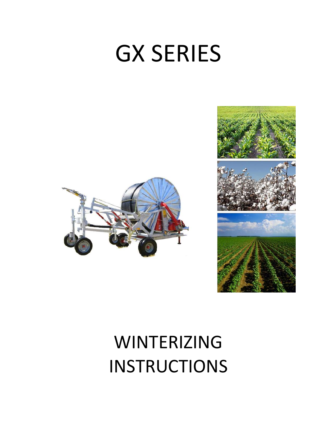# GX SERIES





## WINTERIZING INSTRUCTIONS